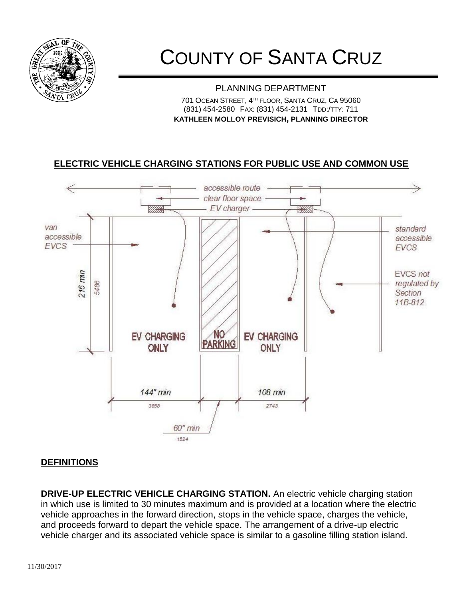

# COUNTY OF SANTA CRUZ

#### PLANNING DEPARTMENT 701 OCEAN STREET, 4 TH FLOOR, SANTA CRUZ, CA 95060 (831) 454-2580 FAX: (831) 454-2131 TDD:/TTY: 711 **KATHLEEN MOLLOY PREVISICH, PLANNING DIRECTOR**

# **ELECTRIC VEHICLE CHARGING STATIONS FOR PUBLIC USE AND COMMON USE**



### **DEFINITIONS**

**DRIVE-UP ELECTRIC VEHICLE CHARGING STATION.** An electric vehicle charging station in which use is limited to 30 minutes maximum and is provided at a location where the electric vehicle approaches in the forward direction, stops in the vehicle space, charges the vehicle, and proceeds forward to depart the vehicle space. The arrangement of a drive-up electric vehicle charger and its associated vehicle space is similar to a gasoline filling station island.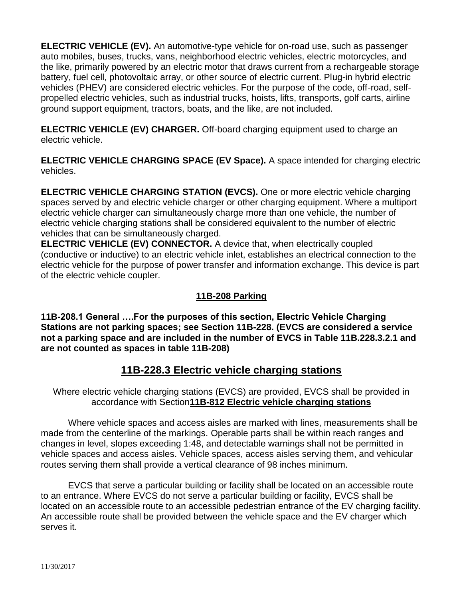**ELECTRIC VEHICLE (EV).** An automotive-type vehicle for on-road use, such as passenger auto mobiles, buses, trucks, vans, neighborhood electric vehicles, electric motorcycles, and the like, primarily powered by an electric motor that draws current from a rechargeable storage battery, fuel cell, photovoltaic array, or other source of electric current. Plug-in hybrid electric vehicles (PHEV) are considered electric vehicles. For the purpose of the code, off-road, selfpropelled electric vehicles, such as industrial trucks, hoists, lifts, transports, golf carts, airline ground support equipment, tractors, boats, and the like, are not included.

**ELECTRIC VEHICLE (EV) CHARGER.** Off-board charging equipment used to charge an electric vehicle.

**ELECTRIC VEHICLE CHARGING SPACE (EV Space).** A space intended for charging electric vehicles.

**ELECTRIC VEHICLE CHARGING STATION (EVCS).** One or more electric vehicle charging spaces served by and electric vehicle charger or other charging equipment. Where a multiport electric vehicle charger can simultaneously charge more than one vehicle, the number of electric vehicle charging stations shall be considered equivalent to the number of electric vehicles that can be simultaneously charged.

**ELECTRIC VEHICLE (EV) CONNECTOR.** A device that, when electrically coupled (conductive or inductive) to an electric vehicle inlet, establishes an electrical connection to the electric vehicle for the purpose of power transfer and information exchange. This device is part of the electric vehicle coupler.

## **11B-208 Parking**

**11B-208.1 General ….For the purposes of this section, Electric Vehicle Charging Stations are not parking spaces; see Section 11B-228. (EVCS are considered a service not a parking space and are included in the number of EVCS in Table 11B.228.3.2.1 and are not counted as spaces in table 11B-208)**

# **11B-228.3 Electric vehicle charging stations**

Where electric vehicle charging stations (EVCS) are provided, EVCS shall be provided in accordance with Section**11B-812 Electric vehicle charging stations**

Where vehicle spaces and access aisles are marked with lines, measurements shall be made from the centerline of the markings. Operable parts shall be within reach ranges and changes in level, slopes exceeding 1:48, and detectable warnings shall not be permitted in vehicle spaces and access aisles. Vehicle spaces, access aisles serving them, and vehicular routes serving them shall provide a vertical clearance of 98 inches minimum.

EVCS that serve a particular building or facility shall be located on an accessible route to an entrance. Where EVCS do not serve a particular building or facility, EVCS shall be located on an accessible route to an accessible pedestrian entrance of the EV charging facility. An accessible route shall be provided between the vehicle space and the EV charger which serves it.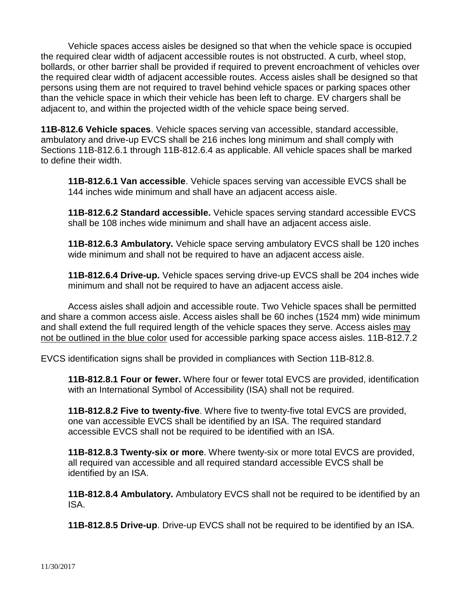Vehicle spaces access aisles be designed so that when the vehicle space is occupied the required clear width of adjacent accessible routes is not obstructed. A curb, wheel stop, bollards, or other barrier shall be provided if required to prevent encroachment of vehicles over the required clear width of adjacent accessible routes. Access aisles shall be designed so that persons using them are not required to travel behind vehicle spaces or parking spaces other than the vehicle space in which their vehicle has been left to charge. EV chargers shall be adjacent to, and within the projected width of the vehicle space being served.

**11B-812.6 Vehicle spaces**. Vehicle spaces serving van accessible, standard accessible, ambulatory and drive-up EVCS shall be 216 inches long minimum and shall comply with Sections 11B-812.6.1 through 11B-812.6.4 as applicable. All vehicle spaces shall be marked to define their width.

**11B-812.6.1 Van accessible**. Vehicle spaces serving van accessible EVCS shall be 144 inches wide minimum and shall have an adjacent access aisle.

**11B-812.6.2 Standard accessible.** Vehicle spaces serving standard accessible EVCS shall be 108 inches wide minimum and shall have an adjacent access aisle.

**11B-812.6.3 Ambulatory.** Vehicle space serving ambulatory EVCS shall be 120 inches wide minimum and shall not be required to have an adjacent access aisle.

**11B-812.6.4 Drive-up.** Vehicle spaces serving drive-up EVCS shall be 204 inches wide minimum and shall not be required to have an adjacent access aisle.

Access aisles shall adjoin and accessible route. Two Vehicle spaces shall be permitted and share a common access aisle. Access aisles shall be 60 inches (1524 mm) wide minimum and shall extend the full required length of the vehicle spaces they serve. Access aisles may not be outlined in the blue color used for accessible parking space access aisles. 11B-812.7.2

EVCS identification signs shall be provided in compliances with Section 11B-812.8.

**11B-812.8.1 Four or fewer.** Where four or fewer total EVCS are provided, identification with an International Symbol of Accessibility (ISA) shall not be required.

**11B-812.8.2 Five to twenty-five**. Where five to twenty-five total EVCS are provided, one van accessible EVCS shall be identified by an ISA. The required standard accessible EVCS shall not be required to be identified with an ISA.

**11B-812.8.3 Twenty-six or more**. Where twenty-six or more total EVCS are provided, all required van accessible and all required standard accessible EVCS shall be identified by an ISA.

**11B-812.8.4 Ambulatory.** Ambulatory EVCS shall not be required to be identified by an ISA.

**11B-812.8.5 Drive-up**. Drive-up EVCS shall not be required to be identified by an ISA.